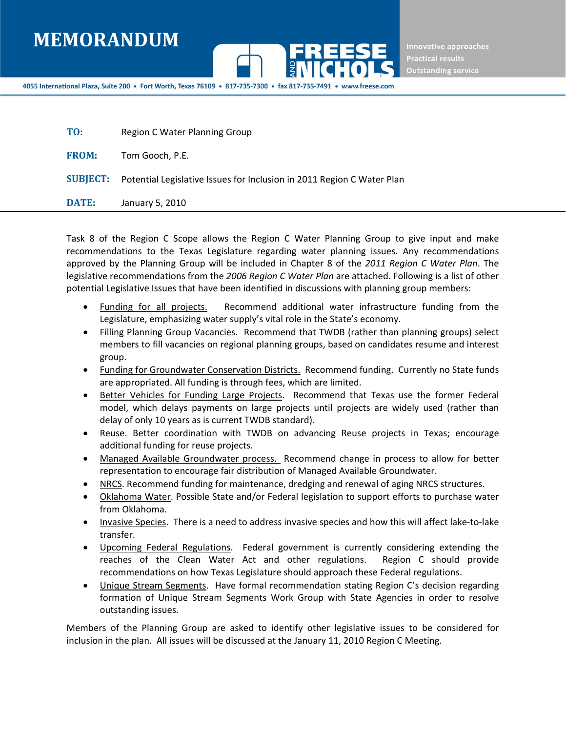

Innovative approaches **Practical results Outstanding service** 

4055 International Plaza, Suite 200 • Fort Worth, Texas 76109 • 817-735-7300 • fax 817-735

| TO:          | Region C Water Planning Group                                                          |
|--------------|----------------------------------------------------------------------------------------|
| <b>FROM:</b> | Tom Gooch, P.E.                                                                        |
|              | <b>SUBJECT:</b> Potential Legislative Issues for Inclusion in 2011 Region C Water Plan |
| <b>DATE:</b> | January 5, 2010                                                                        |

Task 8 of the Region C Scope allows the Region C Water Planning Group to give input and make recommendations to the Texas Legislature regarding water planning issues. Any recommendations approved by the Planning Group will be included in Chapter 8 of the *2011 Region C Water Plan*. The legislative recommendations from the *2006 Region C Water Plan* are attached. Following is a list of other potential Legislative Issues that have been identified in discussions with planning group members:

- Funding for all projects. Recommend additional water infrastructure funding from the Legislature, emphasizing water supply's vital role in the State's economy.
- Filling Planning Group Vacancies. Recommend that TWDB (rather than planning groups) select members to fill vacancies on regional planning groups, based on candidates resume and interest group.
- Funding for Groundwater Conservation Districts. Recommend funding. Currently no State funds are appropriated. All funding is through fees, which are limited.
- **•** Better Vehicles for Funding Large Projects. Recommend that Texas use the former Federal model, which delays payments on large projects until projects are widely used (rather than delay of only 10 years as is current TWDB standard).
- Reuse. Better coordination with TWDB on advancing Reuse projects in Texas; encourage additional funding for reuse projects.
- Managed Available Groundwater process. Recommend change in process to allow for better representation to encourage fair distribution of Managed Available Groundwater.
- NRCS. Recommend funding for maintenance, dredging and renewal of aging NRCS structures.
- Oklahoma Water. Possible State and/or Federal legislation to support efforts to purchase water from Oklahoma.
- Invasive Species. There is a need to address invasive species and how this will affect lake-to-lake transfer.
- Upcoming Federal Regulations. Federal government is currently considering extending the reaches of the Clean Water Act and other regulations. Region C should provide recommendations on how Texas Legislature should approach these Federal regulations.
- Unique Stream Segments. Have formal recommendation stating Region C's decision regarding formation of Unique Stream Segments Work Group with State Agencies in order to resolve outstanding issues.

Members of the Planning Group are asked to identify other legislative issues to be considered for inclusion in the plan. All issues will be discussed at the January 11, 2010 Region C Meeting.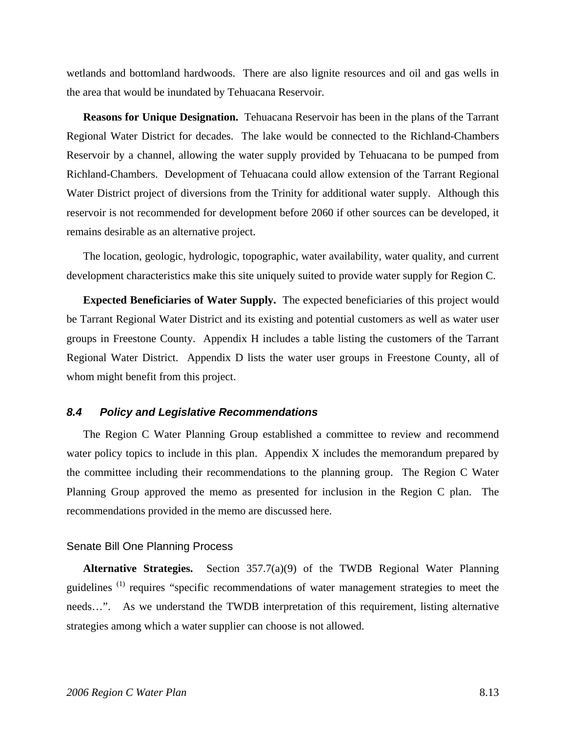wetlands and bottomland hardwoods. There are also lignite resources and oil and gas wells in the area that would be inundated by Tehuacana Reservoir.

**Reasons for Unique Designation.** Tehuacana Reservoir has been in the plans of the Tarrant Regional Water District for decades. The lake would be connected to the Richland-Chambers Reservoir by a channel, allowing the water supply provided by Tehuacana to be pumped from Richland-Chambers. Development of Tehuacana could allow extension of the Tarrant Regional Water District project of diversions from the Trinity for additional water supply. Although this reservoir is not recommended for development before 2060 if other sources can be developed, it remains desirable as an alternative project.

The location, geologic, hydrologic, topographic, water availability, water quality, and current development characteristics make this site uniquely suited to provide water supply for Region C.

**Expected Beneficiaries of Water Supply.** The expected beneficiaries of this project would be Tarrant Regional Water District and its existing and potential customers as well as water user groups in Freestone County. Appendix H includes a table listing the customers of the Tarrant Regional Water District. Appendix D lists the water user groups in Freestone County, all of whom might benefit from this project.

## *8.4 Policy and Legislative Recommendations*

The Region C Water Planning Group established a committee to review and recommend water policy topics to include in this plan. Appendix X includes the memorandum prepared by the committee including their recommendations to the planning group. The Region C Water Planning Group approved the memo as presented for inclusion in the Region C plan. The recommendations provided in the memo are discussed here.

#### Senate Bill One Planning Process

**Alternative Strategies.** Section 357.7(a)(9) of the TWDB Regional Water Planning guidelines<sup>(1)</sup> requires "specific recommendations of water management strategies to meet the needs…". As we understand the TWDB interpretation of this requirement, listing alternative strategies among which a water supplier can choose is not allowed.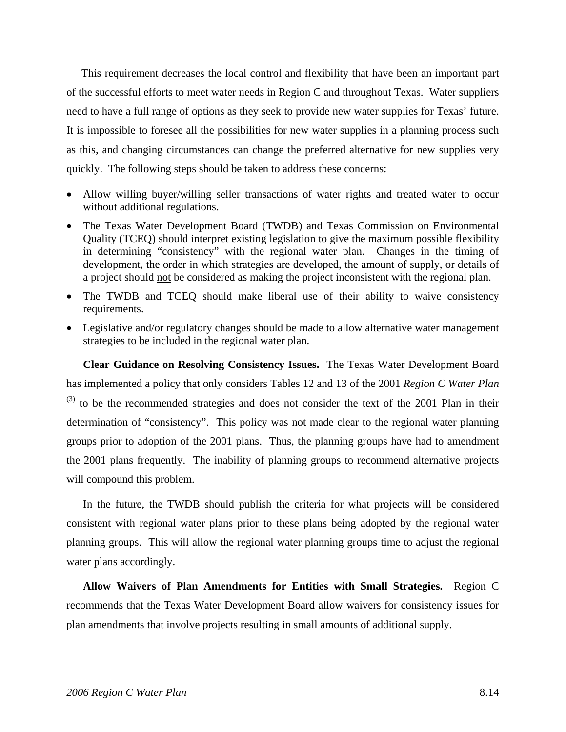This requirement decreases the local control and flexibility that have been an important part of the successful efforts to meet water needs in Region C and throughout Texas. Water suppliers need to have a full range of options as they seek to provide new water supplies for Texas' future. It is impossible to foresee all the possibilities for new water supplies in a planning process such as this, and changing circumstances can change the preferred alternative for new supplies very quickly. The following steps should be taken to address these concerns:

- Allow willing buyer/willing seller transactions of water rights and treated water to occur without additional regulations.
- The Texas Water Development Board (TWDB) and Texas Commission on Environmental Quality (TCEQ) should interpret existing legislation to give the maximum possible flexibility in determining "consistency" with the regional water plan. Changes in the timing of development, the order in which strategies are developed, the amount of supply, or details of a project should not be considered as making the project inconsistent with the regional plan.
- The TWDB and TCEQ should make liberal use of their ability to waive consistency requirements.
- Legislative and/or regulatory changes should be made to allow alternative water management strategies to be included in the regional water plan.

**Clear Guidance on Resolving Consistency Issues.** The Texas Water Development Board has implemented a policy that only considers Tables 12 and 13 of the 2001 *Region C Water Plan*  $^{(3)}$  to be the recommended strategies and does not consider the text of the 2001 Plan in their determination of "consistency". This policy was not made clear to the regional water planning groups prior to adoption of the 2001 plans. Thus, the planning groups have had to amendment the 2001 plans frequently. The inability of planning groups to recommend alternative projects will compound this problem.

In the future, the TWDB should publish the criteria for what projects will be considered consistent with regional water plans prior to these plans being adopted by the regional water planning groups. This will allow the regional water planning groups time to adjust the regional water plans accordingly.

**Allow Waivers of Plan Amendments for Entities with Small Strategies.** Region C recommends that the Texas Water Development Board allow waivers for consistency issues for plan amendments that involve projects resulting in small amounts of additional supply.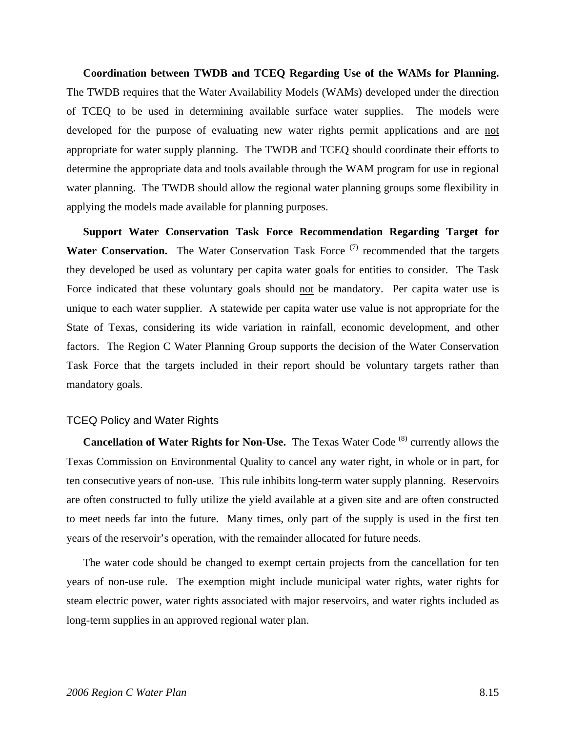**Coordination between TWDB and TCEQ Regarding Use of the WAMs for Planning.** The TWDB requires that the Water Availability Models (WAMs) developed under the direction of TCEQ to be used in determining available surface water supplies. The models were developed for the purpose of evaluating new water rights permit applications and are not appropriate for water supply planning. The TWDB and TCEQ should coordinate their efforts to determine the appropriate data and tools available through the WAM program for use in regional water planning. The TWDB should allow the regional water planning groups some flexibility in applying the models made available for planning purposes.

**Support Water Conservation Task Force Recommendation Regarding Target for Water Conservation.** The Water Conservation Task Force <sup>(7)</sup> recommended that the targets they developed be used as voluntary per capita water goals for entities to consider. The Task Force indicated that these voluntary goals should not be mandatory. Per capita water use is unique to each water supplier. A statewide per capita water use value is not appropriate for the State of Texas, considering its wide variation in rainfall, economic development, and other factors. The Region C Water Planning Group supports the decision of the Water Conservation Task Force that the targets included in their report should be voluntary targets rather than mandatory goals.

## TCEQ Policy and Water Rights

**Cancellation of Water Rights for Non-Use.** The Texas Water Code <sup>(8)</sup> currently allows the Texas Commission on Environmental Quality to cancel any water right, in whole or in part, for ten consecutive years of non-use. This rule inhibits long-term water supply planning. Reservoirs are often constructed to fully utilize the yield available at a given site and are often constructed to meet needs far into the future. Many times, only part of the supply is used in the first ten years of the reservoir's operation, with the remainder allocated for future needs.

The water code should be changed to exempt certain projects from the cancellation for ten years of non-use rule. The exemption might include municipal water rights, water rights for steam electric power, water rights associated with major reservoirs, and water rights included as long-term supplies in an approved regional water plan.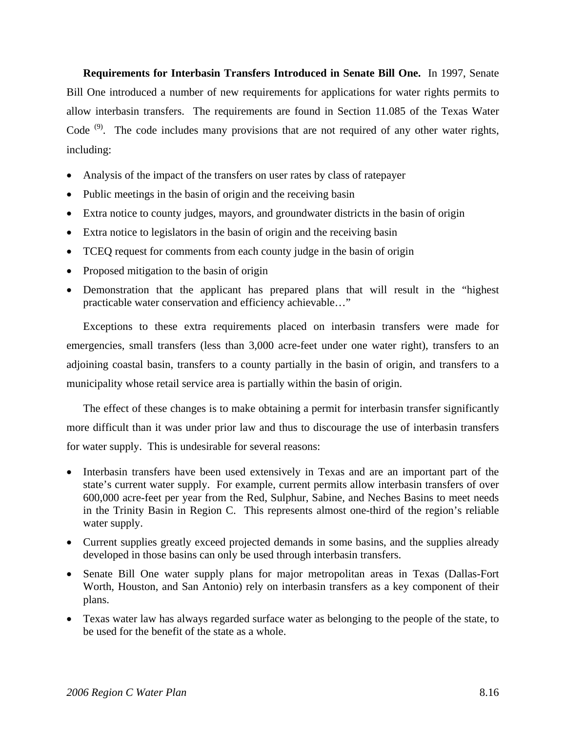**Requirements for Interbasin Transfers Introduced in Senate Bill One.** In 1997, Senate Bill One introduced a number of new requirements for applications for water rights permits to allow interbasin transfers. The requirements are found in Section 11.085 of the Texas Water Code<sup>(9)</sup>. The code includes many provisions that are not required of any other water rights, including:

- Analysis of the impact of the transfers on user rates by class of ratepayer
- Public meetings in the basin of origin and the receiving basin
- Extra notice to county judges, mayors, and groundwater districts in the basin of origin
- Extra notice to legislators in the basin of origin and the receiving basin
- TCEQ request for comments from each county judge in the basin of origin
- Proposed mitigation to the basin of origin
- Demonstration that the applicant has prepared plans that will result in the "highest practicable water conservation and efficiency achievable…"

Exceptions to these extra requirements placed on interbasin transfers were made for emergencies, small transfers (less than 3,000 acre-feet under one water right), transfers to an adjoining coastal basin, transfers to a county partially in the basin of origin, and transfers to a municipality whose retail service area is partially within the basin of origin.

The effect of these changes is to make obtaining a permit for interbasin transfer significantly more difficult than it was under prior law and thus to discourage the use of interbasin transfers for water supply. This is undesirable for several reasons:

- Interbasin transfers have been used extensively in Texas and are an important part of the state's current water supply. For example, current permits allow interbasin transfers of over 600,000 acre-feet per year from the Red, Sulphur, Sabine, and Neches Basins to meet needs in the Trinity Basin in Region C. This represents almost one-third of the region's reliable water supply.
- Current supplies greatly exceed projected demands in some basins, and the supplies already developed in those basins can only be used through interbasin transfers.
- Senate Bill One water supply plans for major metropolitan areas in Texas (Dallas-Fort Worth, Houston, and San Antonio) rely on interbasin transfers as a key component of their plans.
- Texas water law has always regarded surface water as belonging to the people of the state, to be used for the benefit of the state as a whole.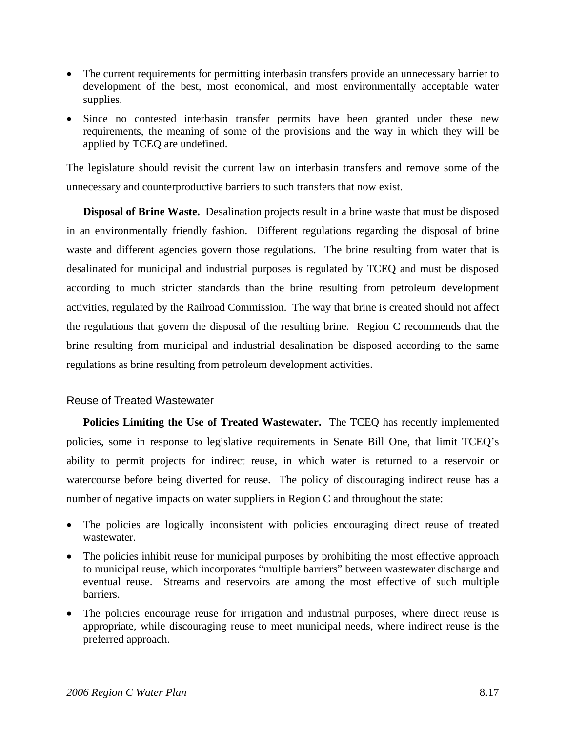- The current requirements for permitting interbasin transfers provide an unnecessary barrier to development of the best, most economical, and most environmentally acceptable water supplies.
- Since no contested interbasin transfer permits have been granted under these new requirements, the meaning of some of the provisions and the way in which they will be applied by TCEQ are undefined.

The legislature should revisit the current law on interbasin transfers and remove some of the unnecessary and counterproductive barriers to such transfers that now exist.

**Disposal of Brine Waste.** Desalination projects result in a brine waste that must be disposed in an environmentally friendly fashion. Different regulations regarding the disposal of brine waste and different agencies govern those regulations. The brine resulting from water that is desalinated for municipal and industrial purposes is regulated by TCEQ and must be disposed according to much stricter standards than the brine resulting from petroleum development activities, regulated by the Railroad Commission. The way that brine is created should not affect the regulations that govern the disposal of the resulting brine. Region C recommends that the brine resulting from municipal and industrial desalination be disposed according to the same regulations as brine resulting from petroleum development activities.

# Reuse of Treated Wastewater

**Policies Limiting the Use of Treated Wastewater.** The TCEQ has recently implemented policies, some in response to legislative requirements in Senate Bill One, that limit TCEQ's ability to permit projects for indirect reuse, in which water is returned to a reservoir or watercourse before being diverted for reuse. The policy of discouraging indirect reuse has a number of negative impacts on water suppliers in Region C and throughout the state:

- The policies are logically inconsistent with policies encouraging direct reuse of treated wastewater.
- The policies inhibit reuse for municipal purposes by prohibiting the most effective approach to municipal reuse, which incorporates "multiple barriers" between wastewater discharge and eventual reuse. Streams and reservoirs are among the most effective of such multiple barriers.
- The policies encourage reuse for irrigation and industrial purposes, where direct reuse is appropriate, while discouraging reuse to meet municipal needs, where indirect reuse is the preferred approach.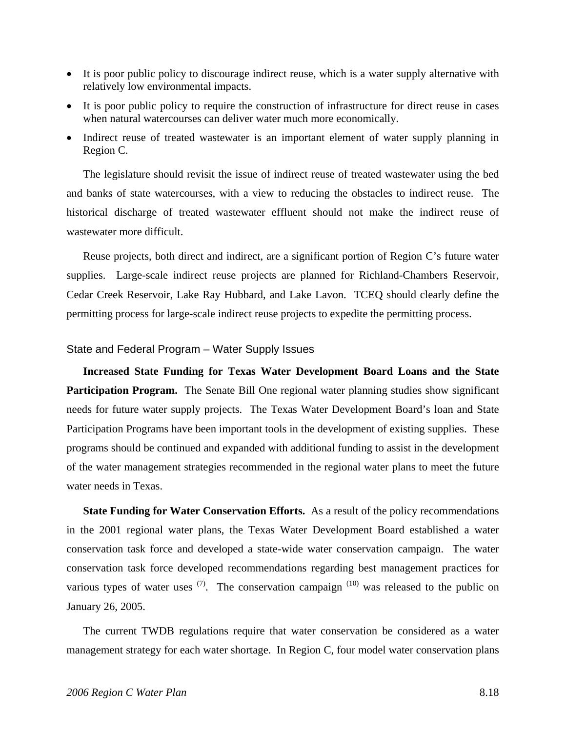- It is poor public policy to discourage indirect reuse, which is a water supply alternative with relatively low environmental impacts.
- It is poor public policy to require the construction of infrastructure for direct reuse in cases when natural watercourses can deliver water much more economically.
- Indirect reuse of treated wastewater is an important element of water supply planning in Region C.

The legislature should revisit the issue of indirect reuse of treated wastewater using the bed and banks of state watercourses, with a view to reducing the obstacles to indirect reuse. The historical discharge of treated wastewater effluent should not make the indirect reuse of wastewater more difficult.

Reuse projects, both direct and indirect, are a significant portion of Region C's future water supplies. Large-scale indirect reuse projects are planned for Richland-Chambers Reservoir, Cedar Creek Reservoir, Lake Ray Hubbard, and Lake Lavon. TCEQ should clearly define the permitting process for large-scale indirect reuse projects to expedite the permitting process.

#### State and Federal Program – Water Supply Issues

**Increased State Funding for Texas Water Development Board Loans and the State Participation Program.** The Senate Bill One regional water planning studies show significant needs for future water supply projects. The Texas Water Development Board's loan and State Participation Programs have been important tools in the development of existing supplies. These programs should be continued and expanded with additional funding to assist in the development of the water management strategies recommended in the regional water plans to meet the future water needs in Texas.

**State Funding for Water Conservation Efforts.** As a result of the policy recommendations in the 2001 regional water plans, the Texas Water Development Board established a water conservation task force and developed a state-wide water conservation campaign. The water conservation task force developed recommendations regarding best management practices for various types of water uses  $(7)$ . The conservation campaign  $(10)$  was released to the public on January 26, 2005.

The current TWDB regulations require that water conservation be considered as a water management strategy for each water shortage. In Region C, four model water conservation plans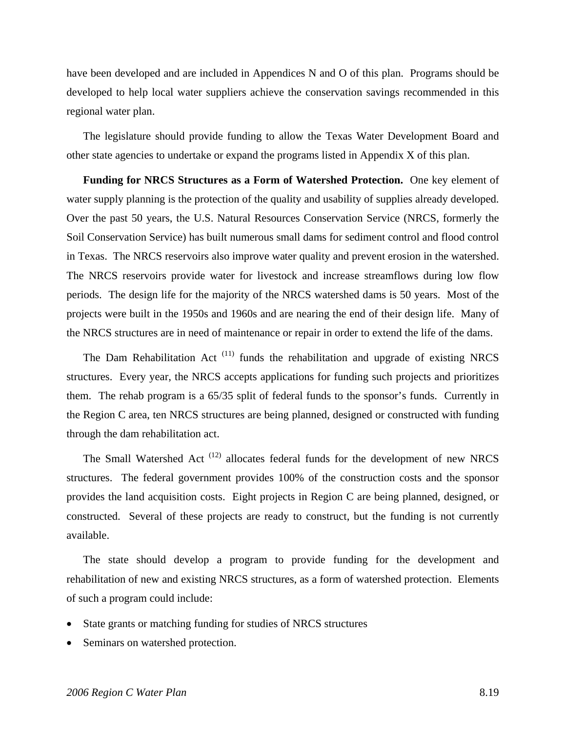have been developed and are included in Appendices N and O of this plan. Programs should be developed to help local water suppliers achieve the conservation savings recommended in this regional water plan.

The legislature should provide funding to allow the Texas Water Development Board and other state agencies to undertake or expand the programs listed in Appendix X of this plan.

**Funding for NRCS Structures as a Form of Watershed Protection.** One key element of water supply planning is the protection of the quality and usability of supplies already developed. Over the past 50 years, the U.S. Natural Resources Conservation Service (NRCS, formerly the Soil Conservation Service) has built numerous small dams for sediment control and flood control in Texas. The NRCS reservoirs also improve water quality and prevent erosion in the watershed. The NRCS reservoirs provide water for livestock and increase streamflows during low flow periods. The design life for the majority of the NRCS watershed dams is 50 years. Most of the projects were built in the 1950s and 1960s and are nearing the end of their design life. Many of the NRCS structures are in need of maintenance or repair in order to extend the life of the dams.

The Dam Rehabilitation Act<sup> $(11)$ </sup> funds the rehabilitation and upgrade of existing NRCS structures. Every year, the NRCS accepts applications for funding such projects and prioritizes them. The rehab program is a 65/35 split of federal funds to the sponsor's funds. Currently in the Region C area, ten NRCS structures are being planned, designed or constructed with funding through the dam rehabilitation act.

The Small Watershed Act  $(12)$  allocates federal funds for the development of new NRCS structures. The federal government provides 100% of the construction costs and the sponsor provides the land acquisition costs. Eight projects in Region C are being planned, designed, or constructed. Several of these projects are ready to construct, but the funding is not currently available.

The state should develop a program to provide funding for the development and rehabilitation of new and existing NRCS structures, as a form of watershed protection. Elements of such a program could include:

- State grants or matching funding for studies of NRCS structures
- Seminars on watershed protection.